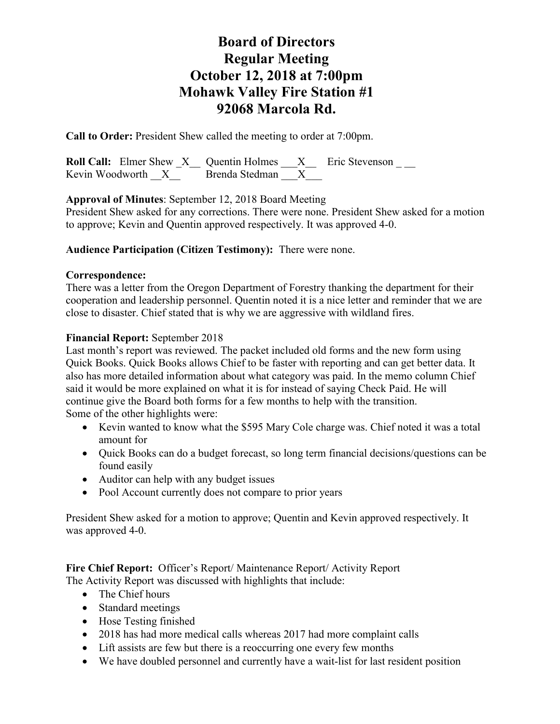**Call to Order:** President Shew called the meeting to order at 7:00pm.

**Roll Call:** Elmer Shew X Quentin Holmes X Eric Stevenson \_\_\_\_<br>Kevin Woodworth X Brenda Stedman X Kevin Woodworth  $\bar{X}$ <sup>--</sup>

**Approval of Minutes**: September 12, 2018 Board Meeting

President Shew asked for any corrections. There were none. President Shew asked for a motion to approve; Kevin and Quentin approved respectively. It was approved 4-0.

### **Audience Participation (Citizen Testimony):** There were none.

#### **Correspondence:**

There was a letter from the Oregon Department of Forestry thanking the department for their cooperation and leadership personnel. Quentin noted it is a nice letter and reminder that we are close to disaster. Chief stated that is why we are aggressive with wildland fires.

### **Financial Report:** September 2018

Last month's report was reviewed. The packet included old forms and the new form using Quick Books. Quick Books allows Chief to be faster with reporting and can get better data. It also has more detailed information about what category was paid. In the memo column Chief said it would be more explained on what it is for instead of saying Check Paid. He will continue give the Board both forms for a few months to help with the transition. Some of the other highlights were:

- Kevin wanted to know what the \$595 Mary Cole charge was. Chief noted it was a total amount for
- Quick Books can do a budget forecast, so long term financial decisions/questions can be found easily
- Auditor can help with any budget issues
- Pool Account currently does not compare to prior years

President Shew asked for a motion to approve; Quentin and Kevin approved respectively. It was approved 4-0.

**Fire Chief Report:** Officer's Report/ Maintenance Report/ Activity Report The Activity Report was discussed with highlights that include:

- The Chief hours
- Standard meetings
- Hose Testing finished
- 2018 has had more medical calls whereas 2017 had more complaint calls
- Lift assists are few but there is a reoccurring one every few months
- We have doubled personnel and currently have a wait-list for last resident position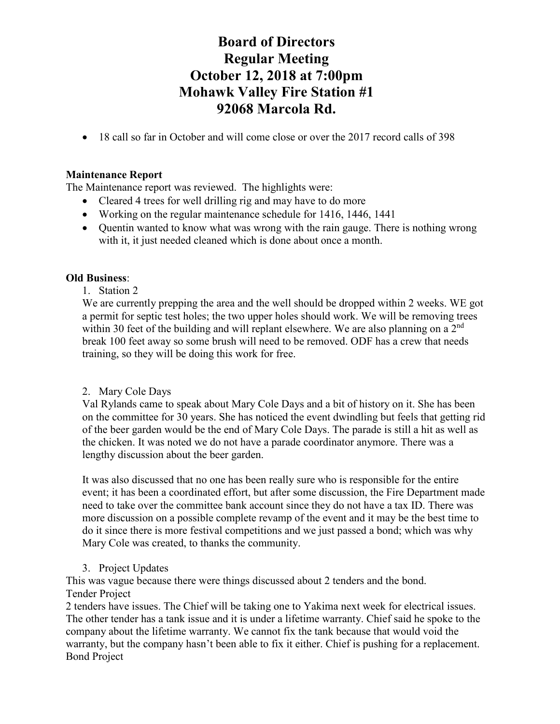• 18 call so far in October and will come close or over the 2017 record calls of 398

### **Maintenance Report**

The Maintenance report was reviewed. The highlights were:

- Cleared 4 trees for well drilling rig and may have to do more
- Working on the regular maintenance schedule for 1416, 1446, 1441
- Ouentin wanted to know what was wrong with the rain gauge. There is nothing wrong with it, it just needed cleaned which is done about once a month.

## **Old Business**:

## 1. Station 2

We are currently prepping the area and the well should be dropped within 2 weeks. WE got a permit for septic test holes; the two upper holes should work. We will be removing trees within 30 feet of the building and will replant elsewhere. We are also planning on a  $2<sup>nd</sup>$ break 100 feet away so some brush will need to be removed. ODF has a crew that needs training, so they will be doing this work for free.

## 2. Mary Cole Days

Val Rylands came to speak about Mary Cole Days and a bit of history on it. She has been on the committee for 30 years. She has noticed the event dwindling but feels that getting rid of the beer garden would be the end of Mary Cole Days. The parade is still a hit as well as the chicken. It was noted we do not have a parade coordinator anymore. There was a lengthy discussion about the beer garden.

It was also discussed that no one has been really sure who is responsible for the entire event; it has been a coordinated effort, but after some discussion, the Fire Department made need to take over the committee bank account since they do not have a tax ID. There was more discussion on a possible complete revamp of the event and it may be the best time to do it since there is more festival competitions and we just passed a bond; which was why Mary Cole was created, to thanks the community.

## 3. Project Updates

This was vague because there were things discussed about 2 tenders and the bond. Tender Project

2 tenders have issues. The Chief will be taking one to Yakima next week for electrical issues. The other tender has a tank issue and it is under a lifetime warranty. Chief said he spoke to the company about the lifetime warranty. We cannot fix the tank because that would void the warranty, but the company hasn't been able to fix it either. Chief is pushing for a replacement. Bond Project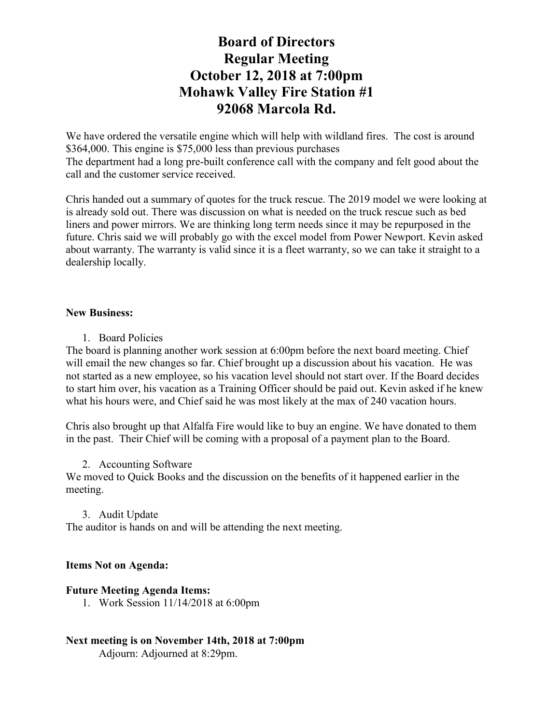We have ordered the versatile engine which will help with wildland fires. The cost is around \$364,000. This engine is \$75,000 less than previous purchases The department had a long pre-built conference call with the company and felt good about the call and the customer service received.

Chris handed out a summary of quotes for the truck rescue. The 2019 model we were looking at is already sold out. There was discussion on what is needed on the truck rescue such as bed liners and power mirrors. We are thinking long term needs since it may be repurposed in the future. Chris said we will probably go with the excel model from Power Newport. Kevin asked about warranty. The warranty is valid since it is a fleet warranty, so we can take it straight to a dealership locally.

#### **New Business:**

1. Board Policies

The board is planning another work session at 6:00pm before the next board meeting. Chief will email the new changes so far. Chief brought up a discussion about his vacation. He was not started as a new employee, so his vacation level should not start over. If the Board decides to start him over, his vacation as a Training Officer should be paid out. Kevin asked if he knew what his hours were, and Chief said he was most likely at the max of 240 vacation hours.

Chris also brought up that Alfalfa Fire would like to buy an engine. We have donated to them in the past. Their Chief will be coming with a proposal of a payment plan to the Board.

#### 2. Accounting Software

We moved to Quick Books and the discussion on the benefits of it happened earlier in the meeting.

#### 3. Audit Update

The auditor is hands on and will be attending the next meeting.

#### **Items Not on Agenda:**

#### **Future Meeting Agenda Items:**

- 1. Work Session 11/14/2018 at 6:00pm
- **Next meeting is on November 14th, 2018 at 7:00pm** Adjourn: Adjourned at 8:29pm.